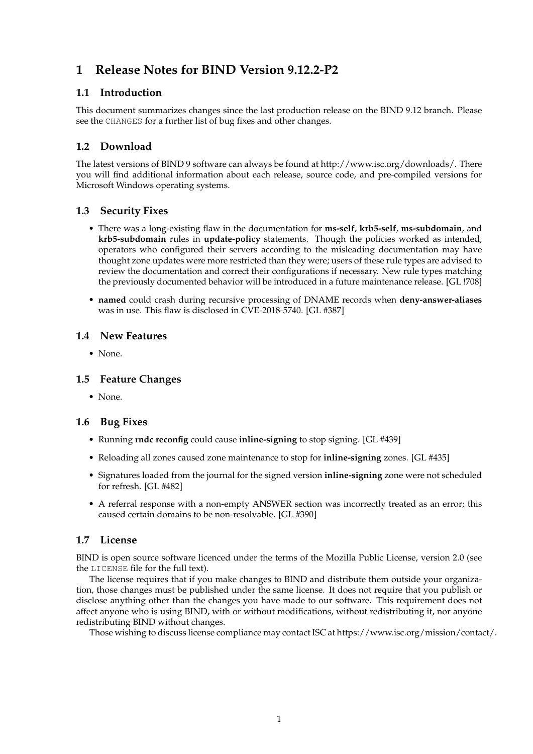# **1 Release Notes for BIND Version 9.12.2-P2**

## **1.1 Introduction**

This document summarizes changes since the last production release on the BIND 9.12 branch. Please see the CHANGES for a further list of bug fixes and other changes.

# **1.2 Download**

The latest versions of BIND 9 software can always be found at http://www.isc.org/downloads/. There you will find additional information about each release, source code, and pre-compiled versions for Microsoft Windows operating systems.

## **1.3 Security Fixes**

- There was a long-existing flaw in the documentation for **ms-self**, **krb5-self**, **ms-subdomain**, and **krb5-subdomain** rules in **update-policy** statements. Though the policies worked as intended, operators who configured their servers according to the misleading documentation may have thought zone updates were more restricted than they were; users of these rule types are advised to review the documentation and correct their configurations if necessary. New rule types matching the previously documented behavior will be introduced in a future maintenance release. [GL !708]
- **named** could crash during recursive processing of DNAME records when **deny-answer-aliases** was in use. This flaw is disclosed in CVE-2018-5740. [GL #387]

#### **1.4 New Features**

• None.

#### **1.5 Feature Changes**

• None.

#### **1.6 Bug Fixes**

- Running **rndc reconfig** could cause **inline-signing** to stop signing. [GL #439]
- Reloading all zones caused zone maintenance to stop for **inline-signing** zones. [GL #435]
- Signatures loaded from the journal for the signed version **inline-signing** zone were not scheduled for refresh. [GL #482]
- A referral response with a non-empty ANSWER section was incorrectly treated as an error; this caused certain domains to be non-resolvable. [GL #390]

#### **1.7 License**

BIND is open source software licenced under the terms of the Mozilla Public License, version 2.0 (see the LICENSE file for the full text).

The license requires that if you make changes to BIND and distribute them outside your organization, those changes must be published under the same license. It does not require that you publish or disclose anything other than the changes you have made to our software. This requirement does not affect anyone who is using BIND, with or without modifications, without redistributing it, nor anyone redistributing BIND without changes.

Those wishing to discuss license compliance may contact ISC at https://www.isc.org/mission/contact/.